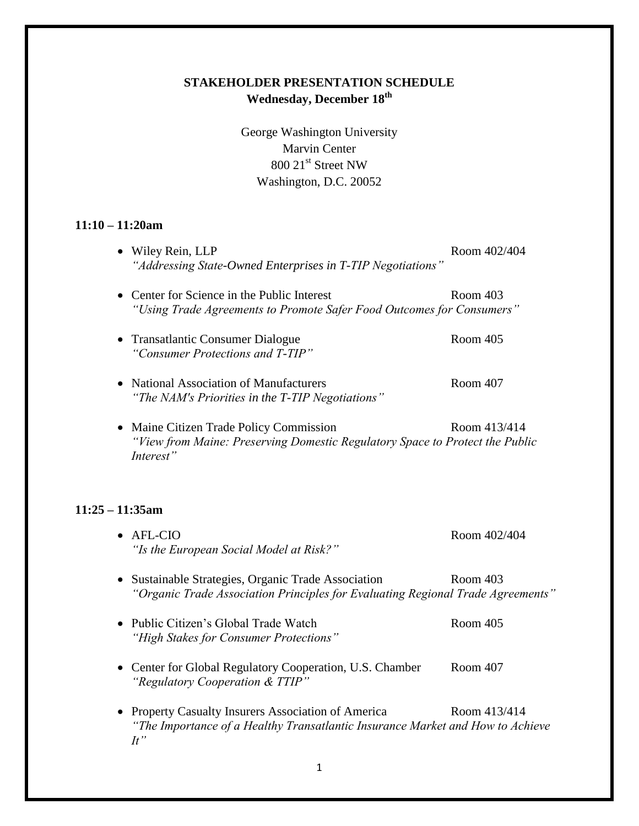George Washington University Marvin Center 800 21<sup>st</sup> Street NW Washington, D.C. 20052

### **11:10 – 11:20am**

|           | • Wiley Rein, LLP<br>"Addressing State-Owned Enterprises in T-TIP Negotiations"                                                    | Room 402/404 |
|-----------|------------------------------------------------------------------------------------------------------------------------------------|--------------|
|           | • Center for Science in the Public Interest<br>"Using Trade Agreements to Promote Safer Food Outcomes for Consumers"               | Room 403     |
|           | • Transatlantic Consumer Dialogue<br>"Consumer Protections and T-TIP"                                                              | Room 405     |
|           | • National Association of Manufacturers<br>"The NAM's Priorities in the T-TIP Negotiations"                                        | Room 407     |
| $\bullet$ | Maine Citizen Trade Policy Commission<br>"View from Maine: Preserving Domestic Regulatory Space to Protect the Public<br>Interest" | Room 413/414 |
|           |                                                                                                                                    |              |

## **11:25 – 11:35am**

| $\bullet$ AFL-CIO<br>"Is the European Social Model at Risk?"                                                                                 | Room 402/404 |
|----------------------------------------------------------------------------------------------------------------------------------------------|--------------|
| • Sustainable Strategies, Organic Trade Association<br>"Organic Trade Association Principles for Evaluating Regional Trade Agreements"       | Room 403     |
| • Public Citizen's Global Trade Watch<br>"High Stakes for Consumer Protections"                                                              | Room 405     |
| • Center for Global Regulatory Cooperation, U.S. Chamber<br>"Regulatory Cooperation & TTIP"                                                  | Room 407     |
| • Property Casualty Insurers Association of America<br>"The Importance of a Healthy Transatlantic Insurance Market and How to Achieve<br>H'' | Room 413/414 |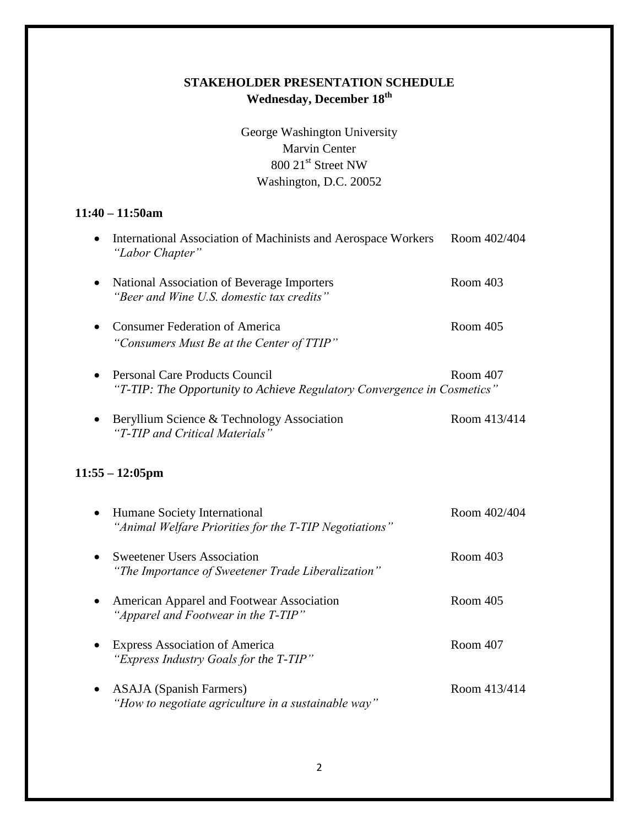George Washington University Marvin Center 800 21st Street NW Washington, D.C. 20052

### **11:40 – 11:50am**

|           | International Association of Machinists and Aerospace Workers<br>"Labor Chapter"                          | Room 402/404 |
|-----------|-----------------------------------------------------------------------------------------------------------|--------------|
| $\bullet$ | National Association of Beverage Importers<br>"Beer and Wine U.S. domestic tax credits"                   | Room 403     |
| $\bullet$ | <b>Consumer Federation of America</b><br>"Consumers Must Be at the Center of TTIP"                        | Room 405     |
| $\bullet$ | Personal Care Products Council<br>"T-TIP: The Opportunity to Achieve Regulatory Convergence in Cosmetics" | Room 407     |
| $\bullet$ | Beryllium Science & Technology Association<br>"T-TIP and Critical Materials"                              | Room 413/414 |
|           | $11:55 - 12:05 \text{pm}$                                                                                 |              |

| $\bullet$ | Humane Society International<br>"Animal Welfare Priorities for the T-TIP Negotiations"   | Room 402/404 |
|-----------|------------------------------------------------------------------------------------------|--------------|
|           | <b>Sweetener Users Association</b><br>"The Importance of Sweetener Trade Liberalization" | Room 403     |
|           | American Apparel and Footwear Association<br>"Apparel and Footwear in the T-TIP"         | Room 405     |
|           | <b>Express Association of America</b><br>"Express Industry Goals for the T-TIP"          | Room 407     |
| $\bullet$ | <b>ASAJA</b> (Spanish Farmers)<br>"How to negotiate agriculture in a sustainable way"    | Room 413/414 |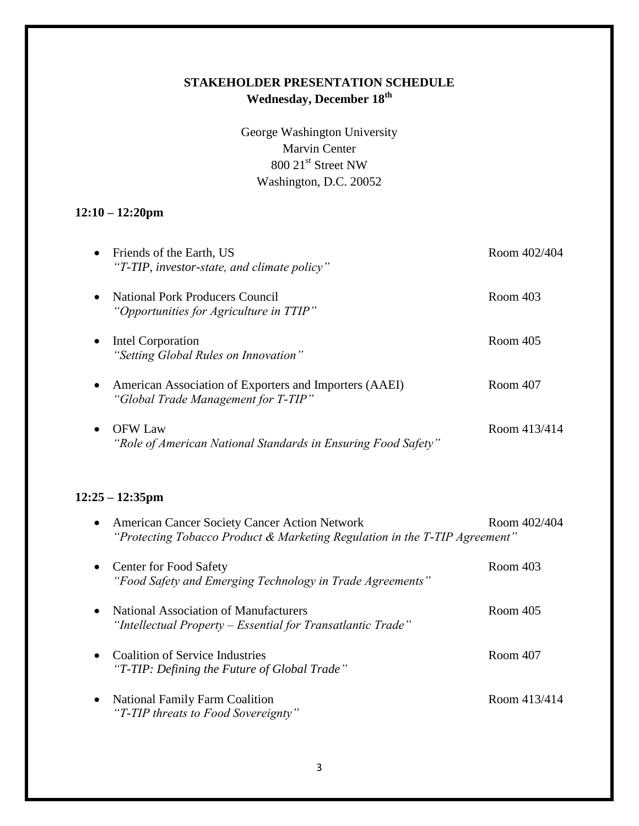George Washington University Marvin Center 800 21st Street NW Washington, D.C. 20052

## **12:10 – 12:20pm**

|           | Friends of the Earth, US<br>"T-TIP, investor-state, and climate policy"                                                            | Room 402/404 |
|-----------|------------------------------------------------------------------------------------------------------------------------------------|--------------|
|           | <b>National Pork Producers Council</b><br>"Opportunities for Agriculture in TTIP"                                                  | Room 403     |
|           | Intel Corporation<br>"Setting Global Rules on Innovation"                                                                          | Room 405     |
|           | American Association of Exporters and Importers (AAEI)<br>"Global Trade Management for T-TIP"                                      | Room 407     |
|           | <b>OFW Law</b><br>"Role of American National Standards in Ensuring Food Safety"                                                    | Room 413/414 |
|           | $12:25 - 12:35$ pm                                                                                                                 |              |
| $\bullet$ | <b>American Cancer Society Cancer Action Network</b><br>"Protecting Tobacco Product & Marketing Regulation in the T-TIP Agreement" | Room 402/404 |
| $\bullet$ | <b>Center for Food Safety</b><br>"Food Safety and Emerging Technology in Trade Agreements"                                         | Room 403     |
|           | <b>National Association of Manufacturers</b><br>"Intellectual Property – Essential for Transatlantic Trade"                        | Room 405     |
| $\bullet$ | <b>Coalition of Service Industries</b><br>"T-TIP: Defining the Future of Global Trade"                                             | Room 407     |
|           | <b>National Family Farm Coalition</b><br>"T-TIP threats to Food Sovereignty"                                                       | Room 413/414 |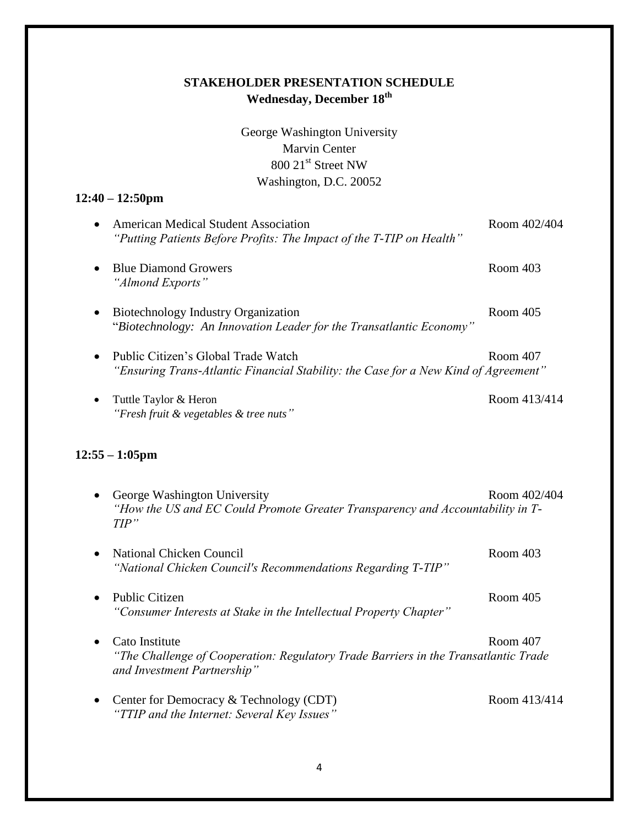George Washington University Marvin Center 800 21st Street NW Washington, D.C. 20052

#### **12:40 – 12:50pm**

| • American Medical Student Association                               | Room 402/404 |
|----------------------------------------------------------------------|--------------|
| "Putting Patients Before Profits: The Impact of the T-TIP on Health" |              |
| • Blue Diamond Growers                                               | Room 403     |
| "Almond Exports"                                                     |              |

Biotechnology Industry Organization Room 405 "*Biotechnology: An Innovation Leader for the Transatlantic Economy"*

- Public Citizen's Global Trade Watch Room 407 *"Ensuring Trans-Atlantic Financial Stability: the Case for a New Kind of Agreement"*
- Tuttle Taylor & Heron Room 413/414 *"Fresh fruit & vegetables & tree nuts"*

#### **12:55 – 1:05pm**

- George Washington University Room 402/404 *"How the US and EC Could Promote Greater Transparency and Accountability in T-TIP"*
- National Chicken Council **Room** 403 *"National Chicken Council's Recommendations Regarding T-TIP"*
- Public Citizen Room 405 *"Consumer Interests at Stake in the Intellectual Property Chapter"*
- Cato Institute Room 407 *"The Challenge of Cooperation: Regulatory Trade Barriers in the Transatlantic Trade and Investment Partnership"*
- Center for Democracy & Technology (CDT) Room 413/414 *"TTIP and the Internet: Several Key Issues"*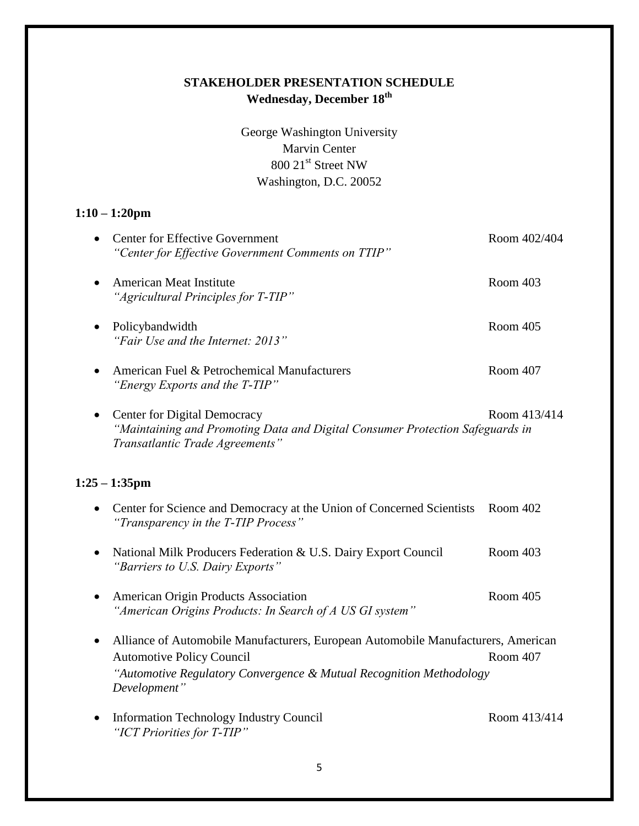George Washington University Marvin Center 800 21<sup>st</sup> Street NW Washington, D.C. 20052

### **1:10 – 1:20pm**

| <b>Center for Effective Government</b><br>"Center for Effective Government Comments on TTIP"                                                                         | Room 402/404 |
|----------------------------------------------------------------------------------------------------------------------------------------------------------------------|--------------|
| <b>American Meat Institute</b><br>"Agricultural Principles for T-TIP"                                                                                                | Room 403     |
| Policybandwidth<br>"Fair Use and the Internet: 2013"                                                                                                                 | Room 405     |
| American Fuel & Petrochemical Manufacturers<br>"Energy Exports and the T-TIP"                                                                                        | Room 407     |
| <b>Center for Digital Democracy</b><br>$\bullet$<br>"Maintaining and Promoting Data and Digital Consumer Protection Safeguards in<br>Transatlantic Trade Agreements" | Room 413/414 |
| $1:25 - 1:35$ pm                                                                                                                                                     |              |
| Center for Science and Democracy at the Union of Concerned Scientists<br>"Transparency in the T-TIP Process"                                                         | Room 402     |
| National Milk Producers Federation & U.S. Dairy Export Council<br>"Barriers to U.S. Dairy Exports"                                                                   | Room 403     |
| American Origin Products Association<br>"American Origins Products: In Search of A US GI system"                                                                     | Room 405     |

- Alliance of Automobile Manufacturers, European Automobile Manufacturers, American Automotive Policy Council Room 407 *"Automotive Regulatory Convergence & Mutual Recognition Methodology Development"*
- Information Technology Industry Council Room 413/414 *"ICT Priorities for T-TIP"*